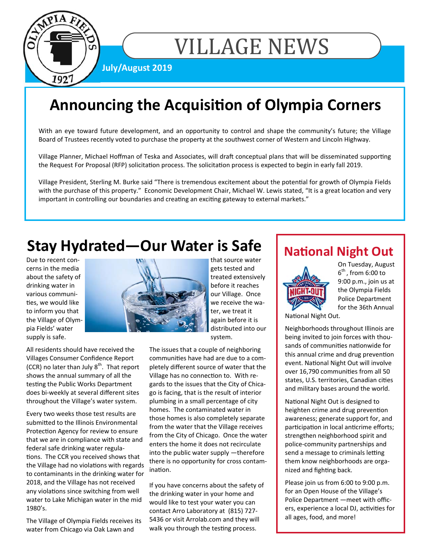

# VILLAGE NEWS

**July/August 2019** 

# **Announcing the Acquisition of Olympia Corners**

With an eye toward future development, and an opportunity to control and shape the community's future; the Village Board of Trustees recently voted to purchase the property at the southwest corner of Western and Lincoln Highway.

Village Planner, Michael Hoffman of Teska and Associates, will draft conceptual plans that will be disseminated supporting the Request For Proposal (RFP) solicitation process. The solicitation process is expected to begin in early fall 2019.

Village President, Sterling M. Burke said "There is tremendous excitement about the potential for growth of Olympia Fields with the purchase of this property." Economic Development Chair, Michael W. Lewis stated, "It is a great location and very important in controlling our boundaries and creating an exciting gateway to external markets."

# **Stay Hydrated—Our Water is Safe**

Due to recent concerns in the media about the safety of drinking water in various communities, we would like to inform you that the Village of Olympia Fields' water supply is safe.

All residents should have received the Villages Consumer Confidence Report (CCR) no later than July  $8<sup>th</sup>$ . That report shows the annual summary of all the testing the Public Works Department does bi-weekly at several different sites throughout the Village's water system.

Every two weeks those test results are submitted to the Illinois Environmental Protection Agency for review to ensure that we are in compliance with state and federal safe drinking water regulations. The CCR you received shows that the Village had no violations with regards to contaminants in the drinking water for 2018, and the Village has not received any violations since switching from well water to Lake Michigan water in the mid 1980's.

The Village of Olympia Fields receives its water from Chicago via Oak Lawn and



system.

The issues that a couple of neighboring communities have had are due to a completely different source of water that the Village has no connection to. With regards to the issues that the City of Chicago is facing, that is the result of interior plumbing in a small percentage of city homes. The contaminated water in those homes is also completely separate from the water that the Village receives from the City of Chicago. Once the water enters the home it does not recirculate into the public water supply —therefore there is no opportunity for cross contamination.

If you have concerns about the safety of the drinking water in your home and would like to test your water you can contact Arro Laboratory at (815) 727- 5436 or visit Arrolab.com and they will walk you through the testing process.

## **National Night Out**



On Tuesday, August  $6<sup>th</sup>$ , from 6:00 to 9:00 p.m., join us at the Olympia Fields Police Department for the 36th Annual

National Night Out.

Neighborhoods throughout Illinois are being invited to join forces with thousands of communities nationwide for this annual crime and drug prevention event. National Night Out will involve over 16,790 communities from all 50 states, U.S. territories, Canadian cities and military bases around the world.

National Night Out is designed to heighten crime and drug prevention awareness; generate support for, and participation in local anticrime efforts; strengthen neighborhood spirit and police-community partnerships and send a message to criminals letting them know neighborhoods are organized and fighting back.

Please join us from 6:00 to 9:00 p.m. for an Open House of the Village's Police Department —meet with officers, experience a local DJ, activities for all ages, food, and more!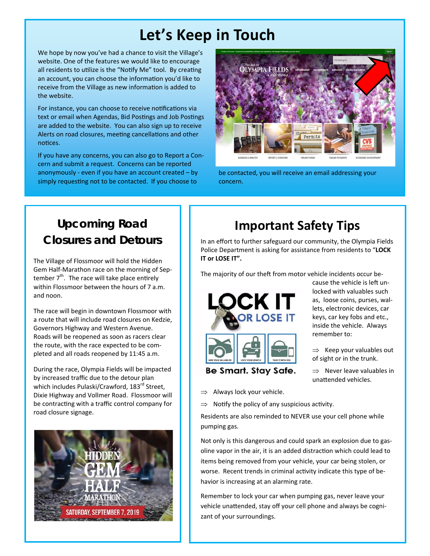# **Let's Keep in Touch**

We hope by now you've had a chance to visit the Village's website. One of the features we would like to encourage all residents to utilize is the "Notify Me" tool. By creating an account, you can choose the information you'd like to receive from the Village as new information is added to the website.

For instance, you can choose to receive notifications via text or email when Agendas, Bid Postings and Job Postings are added to the website. You can also sign up to receive Alerts on road closures, meeting cancellations and other notices.

If you have any concerns, you can also go to Report a Concern and submit a request. Concerns can be reported anonymously - even if you have an account created – by simply requesting not to be contacted. If you choose to



be contacted, you will receive an email addressing your concern.

### **Upcoming Road Closures and Detours**

The Village of Flossmoor will hold the Hidden Gem Half-Marathon race on the morning of September  $7<sup>th</sup>$ . The race will take place entirely within Flossmoor between the hours of 7 a.m. and noon.

The race will begin in downtown Flossmoor with a route that will include road closures on Kedzie, Governors Highway and Western Avenue. Roads will be reopened as soon as racers clear the route, with the race expected to be completed and all roads reopened by 11:45 a.m.

During the race, Olympia Fields will be impacted by increased traffic due to the detour plan which includes Pulaski/Crawford, 183<sup>rd</sup> Street, Dixie Highway and Vollmer Road. Flossmoor will be contracting with a traffic control company for road closure signage.



# **Important Safety Tips**

In an effort to further safeguard our community, the Olympia Fields Police Department is asking for assistance from residents to "**LOCK IT or LOSE IT".** 

The majority of our theft from motor vehicle incidents occur be-



cause the vehicle is left unlocked with valuables such as, loose coins, purses, wallets, electronic devices, car keys, car key fobs and etc., inside the vehicle. Always remember to:

 $\Rightarrow$  Keep your valuables out of sight or in the trunk.

 $\Rightarrow$  Never leave valuables in unattended vehicles.

- Always lock your vehicle.
- $\Rightarrow$  Notify the policy of any suspicious activity.

Residents are also reminded to NEVER use your cell phone while pumping gas.

Not only is this dangerous and could spark an explosion due to gasoline vapor in the air, it is an added distraction which could lead to items being removed from your vehicle, your car being stolen, or worse. Recent trends in criminal activity indicate this type of behavior is increasing at an alarming rate.

Remember to lock your car when pumping gas, never leave your vehicle unattended, stay off your cell phone and always be cognizant of your surroundings.